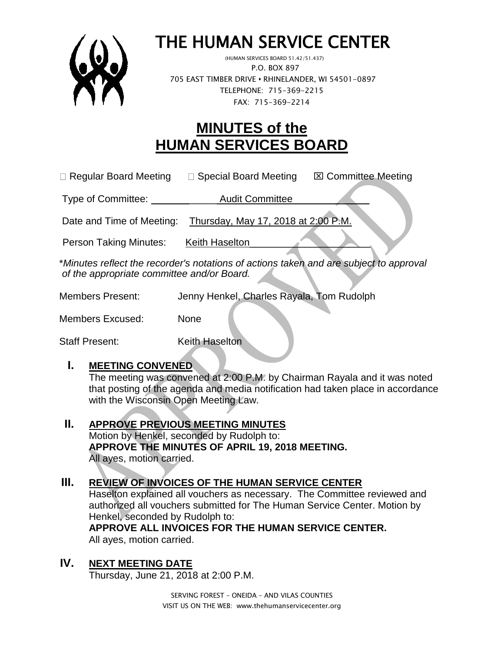

# THE HUMAN SERVICE CENTER

 (HUMAN SERVICES BOARD 51.42/51.437) P.O. BOX 897 705 EAST TIMBER DRIVE **•** RHINELANDER, WI 54501-0897 TELEPHONE: 715-369-2215 FAX: 715-369-2214

## **MINUTES of the HUMAN SERVICES BOARD**

 $\Box$  Regular Board Meeting  $\Box$  Special Board Meeting  $\Box$  Committee Meeting

Type of Committee: Type of Committee:

Date and Time of Meeting: Thursday, May 17, 2018 at 2:00 P.M.

Person Taking Minutes: Keith Haselton

\**Minutes reflect the recorder's notations of actions taken and are subject to approval of the appropriate committee and/or Board.*

Members Present: Jenny Henkel, Charles Rayala, Tom Rudolph

Members Excused: None

Staff Present: Keith Haselton

#### **I. MEETING CONVENED**

The meeting was convened at 2:00 P.M. by Chairman Rayala and it was noted that posting of the agenda and media notification had taken place in accordance with the Wisconsin Open Meeting Law.

**II. APPROVE PREVIOUS MEETING MINUTES**  Motion by Henkel, seconded by Rudolph to: **APPROVE THE MINUTES OF APRIL 19, 2018 MEETING.**  All ayes, motion carried.

#### **III. REVIEW OF INVOICES OF THE HUMAN SERVICE CENTER**

Haselton explained all vouchers as necessary. The Committee reviewed and authorized all vouchers submitted for The Human Service Center. Motion by Henkel, seconded by Rudolph to:

**APPROVE ALL INVOICES FOR THE HUMAN SERVICE CENTER.** All ayes, motion carried.

### **IV. NEXT MEETING DATE**

Thursday, June 21, 2018 at 2:00 P.M.

SERVING FOREST – ONEIDA – AND VILAS COUNTIES VISIT US ON THE WEB: www.thehumanservicecenter.org